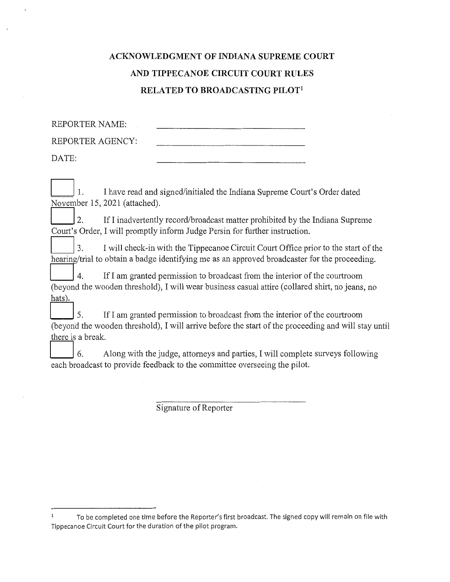## **ACKNOWLEDGMENT OF INDIANA SUPREME COURT** AND TIPPECANOE CIRCUIT COURT RULES RELATED TO BROADCASTING PILOT<sup>1</sup>

**REPORTER NAME:** REPORTER AGENCY: DATE:

I have read and signed/initialed the Indiana Supreme Court's Order dated  $\mathbf{1}$ . November 15, 2021 (attached).

2. If I inadvertently record/broadcast matter prohibited by the Indiana Supreme Court's Order, I will promptly inform Judge Persin for further instruction.

 $\overline{3}$ . I will check-in with the Tippecanoe Circuit Court Office prior to the start of the hearing/trial to obtain a badge identifying me as an approved broadcaster for the proceeding.

 $\overline{4}$ . If I am granted permission to broadcast from the interior of the courtroom (beyond the wooden threshold), I will wear business casual attire (collared shirt, no jeans, no hats).

5. If I am granted permission to broadcast from the interior of the courtroom (beyond the wooden threshold), I will arrive before the start of the proceeding and will stay until there is a break.

6. Along with the judge, attorneys and parties, I will complete surveys following each broadcast to provide feedback to the committee overseeing the pilot.

Signature of Reporter

 $\mathbf{1}$ To be completed one time before the Reporter's first broadcast. The signed copy will remain on file with Tippecanoe Circuit Court for the duration of the pilot program.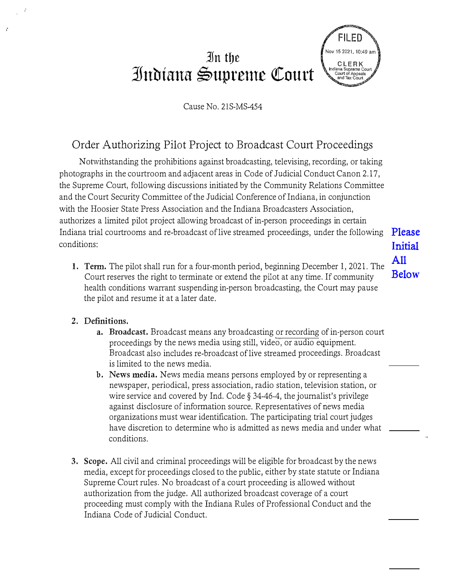# **3Jn tbe ]nbiana �upreme QCourt**



#### Cause No. 21S-MS-454

### Order Authorizing Pilot Project to Broadcast Court Proceedings

Notwithstanding the prohibitions against broadcasting, televising, recording, or taking photographs in the courtroom and adjacent areas in Code of Judicial Conduct Canon 2.17, the Supreme Court, following discussions initiated by the Community Relations Committee and the Court Security Committee of the Judicial Conference of Indiana, in conjunction with the Hoosier State Press Association and the Indiana Broadcasters Association, authorizes a limited pilot project allowing broadcast of in-person proceedings in certain Indiana trial courtrooms and re-broadcast of live streamed proceedings, under the following conditions:

1. **Tenn.** The pilot shall run for a four-month period, beginning December 1, 2021. The Court reserves the right to terminate or extend the pilot at any time. If community health conditions warrant suspending in-person broadcasting, the Court may pause the pilot and resume it at a later date.

Please **I**nitial All Belo**w**

#### **2. Definitions.**

- a. **Broadcast.** Broadcast means any broadcasting or recording of in-person court proceedings by the news media using still, video, or audio equipment. Broadcast also includes re-broadcast of live streamed proceedings. Broadcast is limited to the news media.
- **b. News media.** News media means persons employed by or representing a newspaper, periodical, press association, radio station, television station, or wire service and covered by Ind. Code§ 34-46-4, the journalist's privilege against disclosure of information source. Representatives of news media organizations must wear identification. The participating trial court judges have discretion to determine who is admitted as news media and under what conditions.
- **3. Scope.** All civil and criminal proceedings will be eligible for broadcast by the news media, except for proceedings closed to the public, either by state statute or Indiana Supreme Court rules. No broadcast of a court proceeding is allowed without authorization from the judge. All authorized broadcast coverage of a court proceeding must comply with the Indiana Rules of Professional Conduct and the Indiana Code of Judicial Conduct.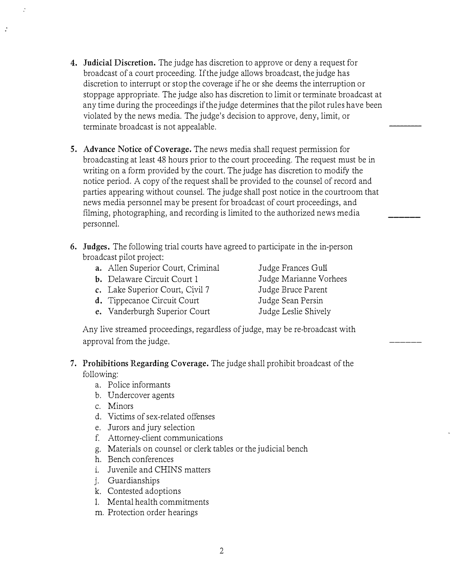- **4. Judicial Discretion.** The judge has discretion to approve or deny a request for broadcast of a court proceeding. If the judge allows broadcast, the judge has discretion to interrupt or stop the coverage if he or she deems the interruption or stoppage appropriate. The judge also has discretion to limit or terminate broadcast at any time during the proceedings if the judge determines that the pilot rules have been violated by the news media. The judge's decision to approve, deny, limit, or terminate broadcast is not appealable.
- **5. Advance Notice of Coverage.** The news media shall request permission for broadcasting at least 48 hours prior to the court proceeding. The request must be in writing on a form provided by the court. The judge has discretion to modify the notice period. A copy of the request shall be provided to the counsel of record and parties appearing without counsel. The judge shall post notice in the courtroom that news media personnel may be present for broadcast of court proceedings, and filming, photographing, and recording is limited to the authorized news media personnel.
- **6. Judges.** The following trial courts have agreed to participate in the in-person broadcast pilot project:
	- **a.** Allen Superior Court, Criminal
	- **b.** Delaware Circuit Court 1
	- **c.** Lake Superior Court, Civil 7
	- **d.** Tippecanoe Circuit Court
	- e. Vanderburgh Superior Court

Judge Frances Gull Judge Marianne Vorhees Judge Bruce Parent Judge Sean Persin Judge Leslie Shively

*\_\_\_\_\_\_\_\_\_*

*\_\_\_\_\_\_*

*\_\_\_\_\_\_*

Any live streamed proceedings, regardless of judge, may be re-broadcast with approval from the judge,

- **7. Prohibitions Regarding Coverage.** The judge shall prohibit broadcast of the following:
	- a. Police informants
	- b. Undercover agents
	- c. Minors
	- d. Victims of sex-related offenses
	- e. Jurors and jury selection
	- f. Attorney-client communications
	- g. Materials on counsel or clerk tables or the judicial bench
	- h. Bench conferences
	- 1. Juvenile and CHINS matters
	- J. Guardianships
	- k. Contested adoptions
	- L Mental health commitments
	- m. Protection order hearings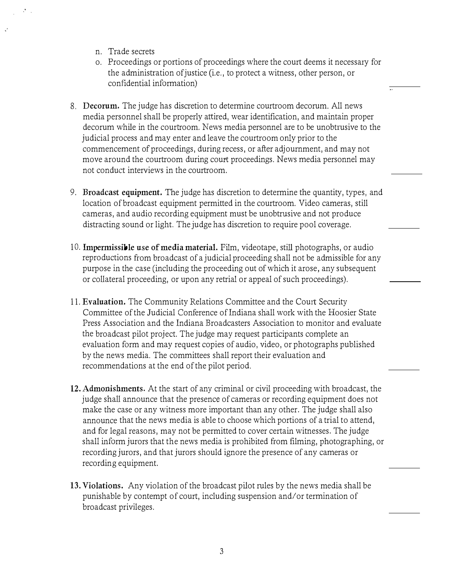- n. Trade secrets
- o. Proceedings or portions of proceedings where the court deems it necessary for the administration of justice (i.e., to protect a witness, other person, or confidential information)
- 8, **Decorum.** The judge has discretion to determine courtroom decorum. All news media personnel shall be properly attired, wear identification, and maintain proper decorum while in the courtroom. News media personnel are to be unobtrusive to the judicial process and may enter and leave the courtroom only prior to the commencement of proceedings, during recess, or after adjournment, and may not move around the courtroom during court proceedings. News media personnel may not conduct interviews in the courtroom.
- 9. **Broadcast equipment.** The judge has discretion to determine the quantity, types, and location of broadcast equipment permitted in the courtroom. Video cameras, still cameras, and audio recording equipment must be unobtrusive and not produce distracting sound or light. The judge has discretion to require pool coverage.
- 10. **Impermissible use of media material.** Film, videotape, still photographs, or audio reproductions from broadcast of a judicial proceeding shall not be admissible for any purpose in the case (including the proceeding out of which it arose, any subsequent or collateral proceeding, or upon any retrial or appeal of such proceedings).
- 11. **Evaluation.** The Community Relations Committee and the Court Security Committee of the Judicial Conference of Indiana shall work with the Hoosier State Press Association and the Indiana Broadcasters Association to monitor and evaluate the broadcast pilot project. The judge may request participants complete an evaluation form and may request copies of audio, video, or photographs published by the news media. The committees shall report their evaluation and recommendations at the end of the pilot period.
- **12. Admonishments.** At the start of any criminal or civil proceeding with broadcast, the judge shall announce that the presence of cameras or recording equipment does not make the case or any witness more important than any other. The judge shall also announce that the news media is able to choose which portions of a trial to attend, and for legal reasons, may not be permitted to cover certain witnesses. The judge shall inform jurors that the news media is prohibited from filming, photographing, or recording jurors, and that jurors should ignore the presence of any cameras or recording equipment.
- 13.**Violations.** Any violation of the broadcast pilot rules by the news media shall be punishable by contempt of court, including suspension and/ or termination of broadcast privileges.